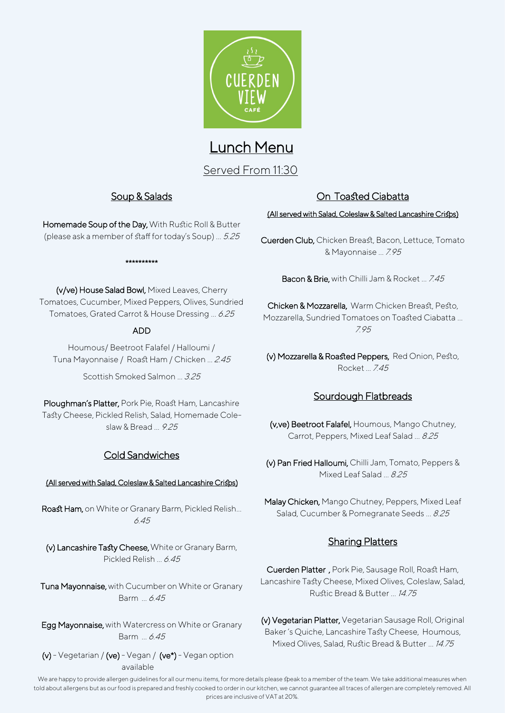

# Lunch Menu

Served From 11:30

#### Soup & Salads

Homemade Soup of the Day, With Rustic Roll & Butter (please ask a member of staff for today's Soup) … 5.25

#### \*\*\*\*\*\*\*\*\*\*

(v/ve) House Salad Bowl, Mixed Leaves, Cherry Tomatoes, Cucumber, Mixed Peppers, Olives, Sundried Tomatoes, Grated Carrot & House Dressing … 6.25

#### ADD

Houmous/ Beetroot Falafel / Halloumi / Tuna Mayonnaise / Roast Ham / Chicken … 2.45

Scottish Smoked Salmon … 3.25

Ploughman's Platter, Pork Pie, Roast Ham, Lancashire Tasty Cheese, Pickled Relish, Salad, Homemade Coleslaw & Bread … 9.25

# Cold Sandwiches

#### (All served with Salad, Coleslaw & Salted Lancashire Crisps)

Roast Ham, on White or Granary Barm, Pickled Relish… 6.45

(v) Lancashire Tasty Cheese, White or Granary Barm, Pickled Relish … 6.45

Tuna Mayonnaise, with Cucumber on White or Granary Barm … 6.45

Egg Mayonnaise, with Watercress on White or Granary Barm … 6.45

 $(v)$  - Vegetarian /  $(ve)$  - Vegan /  $(ve<sup>*</sup>)$  - Vegan option available

## On Toasted Ciabatta

#### (All served with Salad, Coleslaw & Salted Lancashire Crisps)

Cuerden Club, Chicken Breast, Bacon, Lettuce, Tomato & Mayonnaise … 7.95

Bacon & Brie, with Chilli Jam & Rocket ... 7.45

Chicken & Mozzarella, Warm Chicken Breast, Pesto, Mozzarella, Sundried Tomatoes on Toasted Ciabatta … 7.95

(v) Mozzarella & Roasted Peppers, Red Onion, Pesto, Rocket 745

#### Sourdough Flatbreads

(v,ve) Beetroot Falafel, Houmous, Mango Chutney, Carrot, Peppers, Mixed Leaf Salad … 8.25

(v) Pan Fried Halloumi, Chilli Jam, Tomato, Peppers & Mixed Leaf Salad … 8.25

Malay Chicken, Mango Chutney, Peppers, Mixed Leaf Salad, Cucumber & Pomegranate Seeds ... 8.25

# Sharing Platters

Cuerden Platter , Pork Pie, Sausage Roll, Roast Ham, Lancashire Tasty Cheese, Mixed Olives, Coleslaw, Salad, Rustic Bread & Butter … 14.75

(v) Vegetarian Platter, Vegetarian Sausage Roll, Original Baker 's Quiche, Lancashire Tasty Cheese, Houmous, Mixed Olives, Salad, Rustic Bread & Butter ... 14.75

We are happy to provide allergen guidelines for all our menu items, for more details please speak to a member of the team. We take additional measures when told about allergens but as our food is prepared and freshly cooked to order in our kitchen, we cannot guarantee all traces of allergen are completely removed. All prices are inclusive of VAT at 20%.